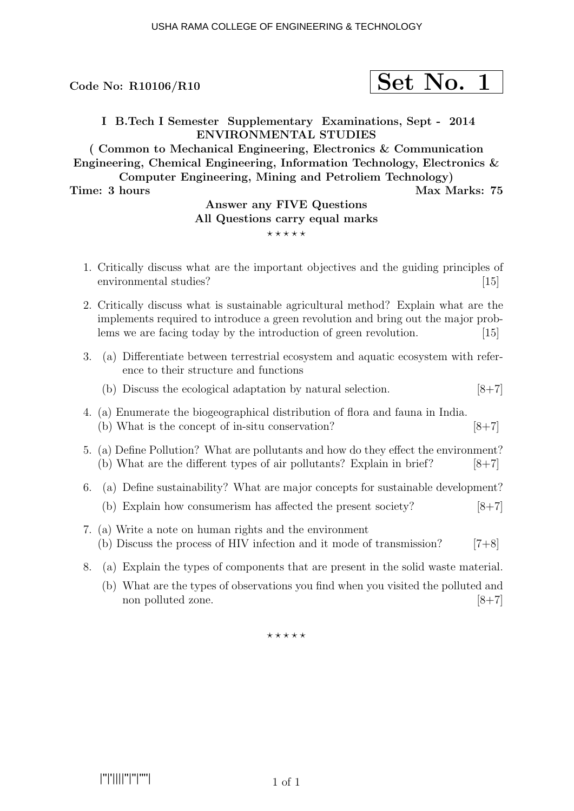$$
\fbox{Set No. 1}
$$

I B.Tech I Semester Supplementary Examinations, Sept - 2014 ENVIRONMENTAL STUDIES

( Common to Mechanical Engineering, Electronics & Communication Engineering, Chemical Engineering, Information Technology, Electronics & Computer Engineering, Mining and Petroliem Technology)

Time: 3 hours Max Marks: 75

## Answer any FIVE Questions All Questions carry equal marks

 $***$ \*\*

- 1. Critically discuss what are the important objectives and the guiding principles of environmental studies? [15]
- 2. Critically discuss what is sustainable agricultural method? Explain what are the implements required to introduce a green revolution and bring out the major problems we are facing today by the introduction of green revolution. [15]
- 3. (a) Differentiate between terrestrial ecosystem and aquatic ecosystem with reference to their structure and functions
	- (b) Discuss the ecological adaptation by natural selection.  $[8+7]$
- 4. (a) Enumerate the biogeographical distribution of flora and fauna in India. (b) What is the concept of in-situ conservation?  $[8+7]$
- 5. (a) Define Pollution? What are pollutants and how do they effect the environment? (b) What are the different types of air pollutants? Explain in brief?  $[8+7]$
- 6. (a) Define sustainability? What are major concepts for sustainable development? (b) Explain how consumerism has affected the present society?  $[8+7]$
- 7. (a) Write a note on human rights and the environment (b) Discuss the process of HIV infection and it mode of transmission?  $[7+8]$
- 8. (a) Explain the types of components that are present in the solid waste material.
	- (b) What are the types of observations you find when you visited the polluted and non polluted zone.  $[8+7]$

 $***$ \*\*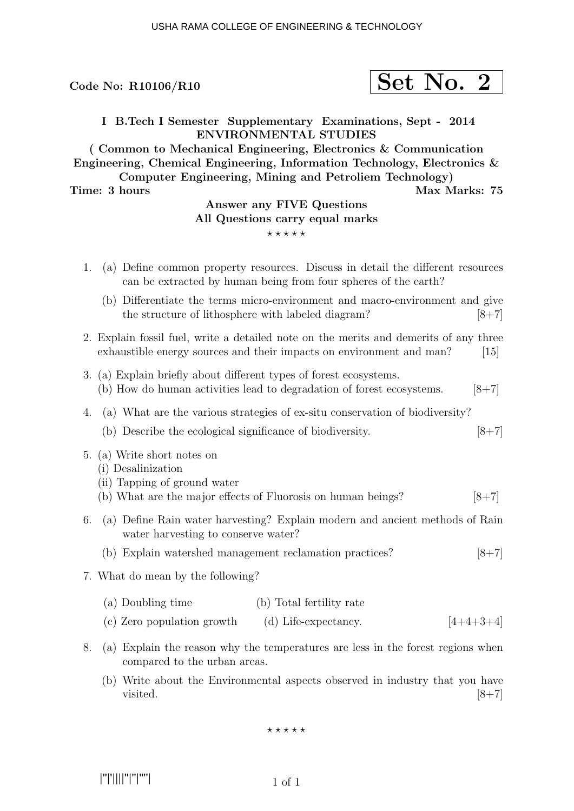$$
\fbox{Set No. 2}
$$

I B.Tech I Semester Supplementary Examinations, Sept - 2014 ENVIRONMENTAL STUDIES

( Common to Mechanical Engineering, Electronics & Communication Engineering, Chemical Engineering, Information Technology, Electronics & Computer Engineering, Mining and Petroliem Technology)

Time: 3 hours Max Marks: 75

# Answer any FIVE Questions All Questions carry equal marks

 $***$ \*\*

- 1. (a) Define common property resources. Discuss in detail the different resources can be extracted by human being from four spheres of the earth?
	- (b) Differentiate the terms micro-environment and macro-environment and give the structure of lithosphere with labeled diagram?  $[8+7]$
- 2. Explain fossil fuel, write a detailed note on the merits and demerits of any three exhaustible energy sources and their impacts on environment and man? [15]
- 3. (a) Explain briefly about different types of forest ecosystems. (b) How do human activities lead to degradation of forest ecosystems.  $[8+7]$
- 4. (a) What are the various strategies of ex-situ conservation of biodiversity?
	- (b) Describe the ecological significance of biodiversity.  $[8+7]$
- 5. (a) Write short notes on
	- (i) Desalinization
	- (ii) Tapping of ground water
	- (b) What are the major effects of Fluorosis on human beings?  $[8+7]$
- 6. (a) Define Rain water harvesting? Explain modern and ancient methods of Rain water harvesting to conserve water?
	- (b) Explain watershed management reclamation practices? [8+7]
- 7. What do mean by the following?
	- (a) Doubling time (b) Total fertility rate
	- (c) Zero population growth (d) Life-expectancy.  $[4+4+3+4]$
- 8. (a) Explain the reason why the temperatures are less in the forest regions when compared to the urban areas.
	- (b) Write about the Environmental aspects observed in industry that you have visited.  $[8+7]$

 $***$ \*\*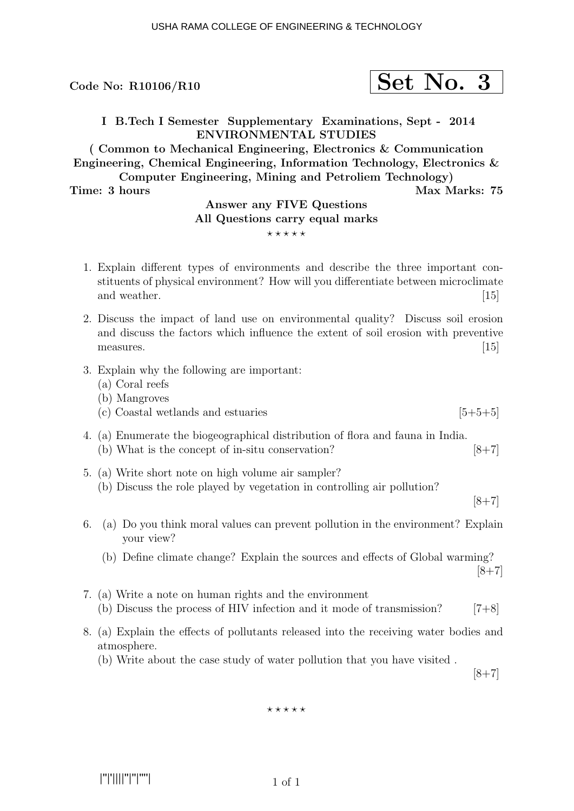$$
\fbox{Set No. 3}
$$

I B.Tech I Semester Supplementary Examinations, Sept - 2014 ENVIRONMENTAL STUDIES

( Common to Mechanical Engineering, Electronics & Communication Engineering, Chemical Engineering, Information Technology, Electronics & Computer Engineering, Mining and Petroliem Technology)

#### Time: 3 hours Max Marks: 75

### Answer any FIVE Questions All Questions carry equal marks

#### $***$ \*\*

- 1. Explain different types of environments and describe the three important constituents of physical environment? How will you differentiate between microclimate and weather. [15]
- 2. Discuss the impact of land use on environmental quality? Discuss soil erosion and discuss the factors which influence the extent of soil erosion with preventive measures.  $[15]$
- 3. Explain why the following are important:
	- (a) Coral reefs
	- (b) Mangroves
	- (c) Coastal wetlands and estuaries  $[5+5+5]$
- 4. (a) Enumerate the biogeographical distribution of flora and fauna in India. (b) What is the concept of in-situ conservation?  $[8+7]$
- 5. (a) Write short note on high volume air sampler? (b) Discuss the role played by vegetation in controlling air pollution?

 $[8+7]$ 

- 6. (a) Do you think moral values can prevent pollution in the environment? Explain your view?
	- (b) Define climate change? Explain the sources and effects of Global warming?  $[8+7]$
- 7. (a) Write a note on human rights and the environment (b) Discuss the process of HIV infection and it mode of transmission?  $[7+8]$
- 8. (a) Explain the effects of pollutants released into the receiving water bodies and atmosphere.
	- (b) Write about the case study of water pollution that you have visited .

 $[8+7]$ 

 $***$ 

|''|'||||''|''|''''|